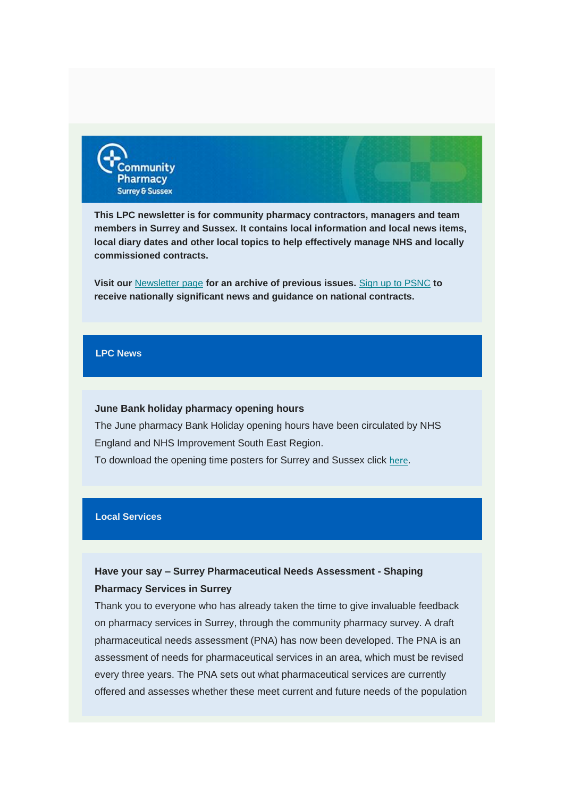

**This LPC newsletter is for community pharmacy contractors, managers and team members in Surrey and Sussex. It contains local information and local news items, local diary dates and other local topics to help effectively manage NHS and locally commissioned contracts.**

**Visit our** [Newsletter page](https://communitypharmacyss.us7.list-manage.com/track/click?u=33f7e892f0f58b8b9ecc659cf&id=9195c1b2c7&e=2bf65ab530) **for an archive of previous issues.** Sign [up to PSNC](https://communitypharmacyss.us7.list-manage.com/track/click?u=33f7e892f0f58b8b9ecc659cf&id=7ea6bd91b3&e=2bf65ab530) **to receive nationally significant news and guidance on national contracts.**

#### **LPC News**

#### **June Bank holiday pharmacy opening hours**

The June pharmacy Bank Holiday opening hours have been circulated by NHS England and NHS Improvement South East Region.

To download the opening time posters for Surrey and Sussex click [here](https://communitypharmacyss.us7.list-manage.com/track/click?u=33f7e892f0f58b8b9ecc659cf&id=4fc59f2bf3&e=2bf65ab530).

#### **Local Services**

### **Have your say – Surrey Pharmaceutical Needs Assessment - Shaping Pharmacy Services in Surrey**

Thank you to everyone who has already taken the time to give invaluable feedback on pharmacy services in Surrey, through the community pharmacy survey. A draft pharmaceutical needs assessment (PNA) has now been developed. The PNA is an assessment of needs for pharmaceutical services in an area, which must be revised every three years. The PNA sets out what pharmaceutical services are currently offered and assesses whether these meet current and future needs of the population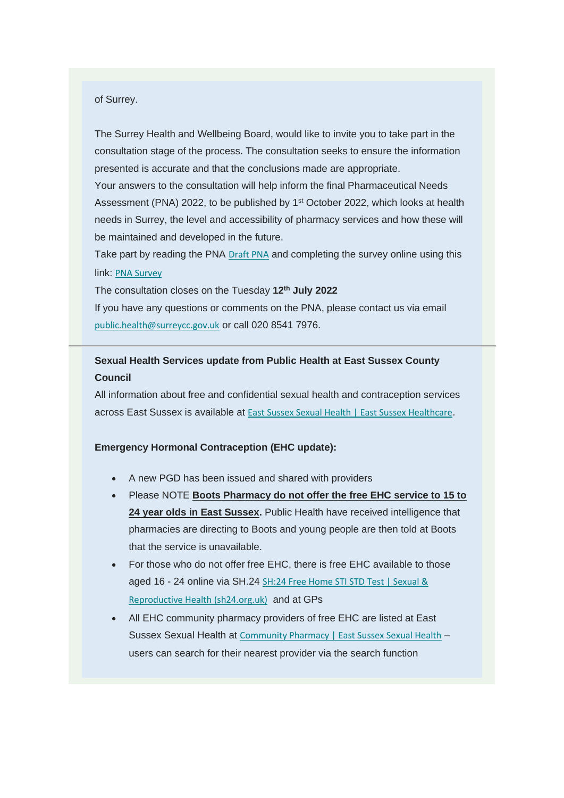#### of Surrey.

The Surrey Health and Wellbeing Board, would like to invite you to take part in the consultation stage of the process. The consultation seeks to ensure the information presented is accurate and that the conclusions made are appropriate.

Your answers to the consultation will help inform the final Pharmaceutical Needs Assessment (PNA) 2022, to be published by 1<sup>st</sup> October 2022, which looks at health needs in Surrey, the level and accessibility of pharmacy services and how these will be maintained and developed in the future.

Take part by reading the PNA [Draft PNA](https://communitypharmacyss.us7.list-manage.com/track/click?u=33f7e892f0f58b8b9ecc659cf&id=51589ad96f&e=2bf65ab530) and completing the survey online using this link: [PNA Survey](https://communitypharmacyss.us7.list-manage.com/track/click?u=33f7e892f0f58b8b9ecc659cf&id=3f94796ee2&e=2bf65ab530)

The consultation closes on the Tuesday **12th July 2022**

If you have any questions or comments on the PNA, please contact us via email [public.health@surreycc.gov.uk](mailto:public.health@surreycc.gov.uk) or call 020 8541 7976.

# **Sexual Health Services update from Public Health at East Sussex County Council**

All information about free and confidential sexual health and contraception services across East Sussex is available at [East Sussex Sexual Health | East Sussex Healthcare](https://communitypharmacyss.us7.list-manage.com/track/click?u=33f7e892f0f58b8b9ecc659cf&id=39d57f7a90&e=2bf65ab530).

#### **Emergency Hormonal Contraception (EHC update):**

- A new PGD has been issued and shared with providers
- Please NOTE **Boots Pharmacy do not offer the free EHC service to 15 to 24 year olds in East Sussex.** Public Health have received intelligence that pharmacies are directing to Boots and young people are then told at Boots that the service is unavailable.
- For those who do not offer free EHC, there is free EHC available to those aged 16 - 24 online via SH.24 [SH:24 Free Home STI STD Test | Sexual &](https://communitypharmacyss.us7.list-manage.com/track/click?u=33f7e892f0f58b8b9ecc659cf&id=17b89486e5&e=2bf65ab530)  [Reproductive Health \(sh24.org.uk\)](https://communitypharmacyss.us7.list-manage.com/track/click?u=33f7e892f0f58b8b9ecc659cf&id=17b89486e5&e=2bf65ab530) and at GPs
- All EHC community pharmacy providers of free EHC are listed at East Sussex Sexual Health at [Community Pharmacy | East Sussex Sexual Health](https://communitypharmacyss.us7.list-manage.com/track/click?u=33f7e892f0f58b8b9ecc659cf&id=05cd59d58c&e=2bf65ab530) users can search for their nearest provider via the search function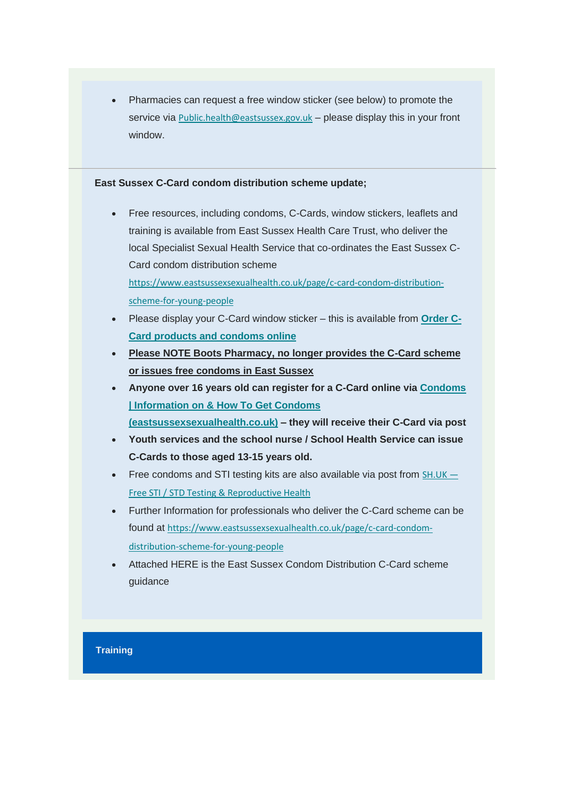• Pharmacies can request a free window sticker (see below) to promote the service via [Public.health@eastsussex.gov.uk](mailto:Public.health@eastsussex.gov.uk) - please display this in your front window.

#### **East Sussex C-Card condom distribution scheme update;**

- Free resources, including condoms, C-Cards, window stickers, leaflets and training is available from East Sussex Health Care Trust, who deliver the local Specialist Sexual Health Service that co-ordinates the East Sussex C-Card condom distribution scheme [https://www.eastsussexsexualhealth.co.uk/page/c-card-condom-distribution](https://communitypharmacyss.us7.list-manage.com/track/click?u=33f7e892f0f58b8b9ecc659cf&id=bfa72cadd1&e=2bf65ab530)[scheme-for-young-people](https://communitypharmacyss.us7.list-manage.com/track/click?u=33f7e892f0f58b8b9ecc659cf&id=bfa72cadd1&e=2bf65ab530)
- Please display your C-Card window sticker this is available from **[Order C-](https://communitypharmacyss.us7.list-manage.com/track/click?u=33f7e892f0f58b8b9ecc659cf&id=581264aec0&e=2bf65ab530)[Card products and condoms online](https://communitypharmacyss.us7.list-manage.com/track/click?u=33f7e892f0f58b8b9ecc659cf&id=581264aec0&e=2bf65ab530)**
- **Please NOTE Boots Pharmacy, no longer provides the C-Card scheme or issues free condoms in East Sussex**
- **Anyone over 16 years old can register for a C-Card online via [Condoms](https://communitypharmacyss.us7.list-manage.com/track/click?u=33f7e892f0f58b8b9ecc659cf&id=a2c27c3c24&e=2bf65ab530)  [| Information on & How To Get Condoms](https://communitypharmacyss.us7.list-manage.com/track/click?u=33f7e892f0f58b8b9ecc659cf&id=a2c27c3c24&e=2bf65ab530)  [\(eastsussexsexualhealth.co.uk\)](https://communitypharmacyss.us7.list-manage.com/track/click?u=33f7e892f0f58b8b9ecc659cf&id=a2c27c3c24&e=2bf65ab530) – they will receive their C-Card via post**
- **Youth services and the school nurse / School Health Service can issue C-Cards to those aged 13-15 years old.**
- Free condoms and STI testing kits are also available via post from  $SH.UK SH.UK -$ [Free STI / STD Testing & Reproductive Health](https://communitypharmacyss.us7.list-manage.com/track/click?u=33f7e892f0f58b8b9ecc659cf&id=3dcb64efdd&e=2bf65ab530)
- Further Information for professionals who deliver the C-Card scheme can be found at [https://www.eastsussexsexualhealth.co.uk/page/c-card-condom](https://communitypharmacyss.us7.list-manage.com/track/click?u=33f7e892f0f58b8b9ecc659cf&id=51fdb3bfa5&e=2bf65ab530)[distribution-scheme-for-young-people](https://communitypharmacyss.us7.list-manage.com/track/click?u=33f7e892f0f58b8b9ecc659cf&id=51fdb3bfa5&e=2bf65ab530)
- Attached HERE is the East Sussex Condom Distribution C-Card scheme guidance

#### **Training**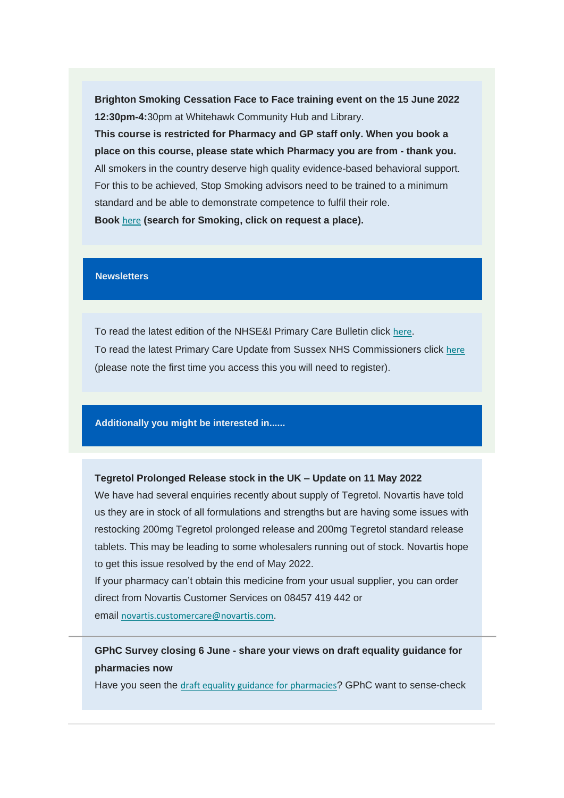**Brighton Smoking Cessation Face to Face training event on the 15 June 2022 12:30pm-4:**30pm at Whitehawk Community Hub and Library.

**This course is restricted for Pharmacy and GP staff only. When you book a place on this course, please state which Pharmacy you are from - thank you.** All smokers in the country deserve high quality evidence-based behavioral support. For this to be achieved, Stop Smoking advisors need to be trained to a minimum standard and be able to demonstrate competence to fulfil their role.

**Book** [here](https://communitypharmacyss.us7.list-manage.com/track/click?u=33f7e892f0f58b8b9ecc659cf&id=ac4de56ebb&e=2bf65ab530) **(search for Smoking, click on request a place).**

#### **Newsletters**

To read the latest edition of the NHSE&I Primary Care Bulletin click [here](https://communitypharmacyss.us7.list-manage.com/track/click?u=33f7e892f0f58b8b9ecc659cf&id=e79a565306&e=2bf65ab530). To read the latest Primary Care Update from Sussex NHS Commissioners click [here](https://communitypharmacyss.us7.list-manage.com/track/click?u=33f7e892f0f58b8b9ecc659cf&id=e872dfa1cf&e=2bf65ab530) (please note the first time you access this you will need to register).

**Additionally you might be interested in......**

#### **Tegretol Prolonged Release stock in the UK – Update on 11 May 2022**

We have had several enquiries recently about supply of Tegretol. Novartis have told us they are in stock of all formulations and strengths but are having some issues with restocking 200mg Tegretol prolonged release and 200mg Tegretol standard release tablets. This may be leading to some wholesalers running out of stock. Novartis hope to get this issue resolved by the end of May 2022.

If your pharmacy can't obtain this medicine from your usual supplier, you can order direct from Novartis Customer Services on 08457 419 442 or email [novartis.customercare@novartis.com](mailto:novartis.customercare@novartis.com).

**GPhC Survey closing 6 June - share your views on draft equality guidance for pharmacies now**

Have you seen the [draft equality guidance for pharmacies](https://communitypharmacyss.us7.list-manage.com/track/click?u=33f7e892f0f58b8b9ecc659cf&id=700d811831&e=2bf65ab530)? GPhC want to sense-check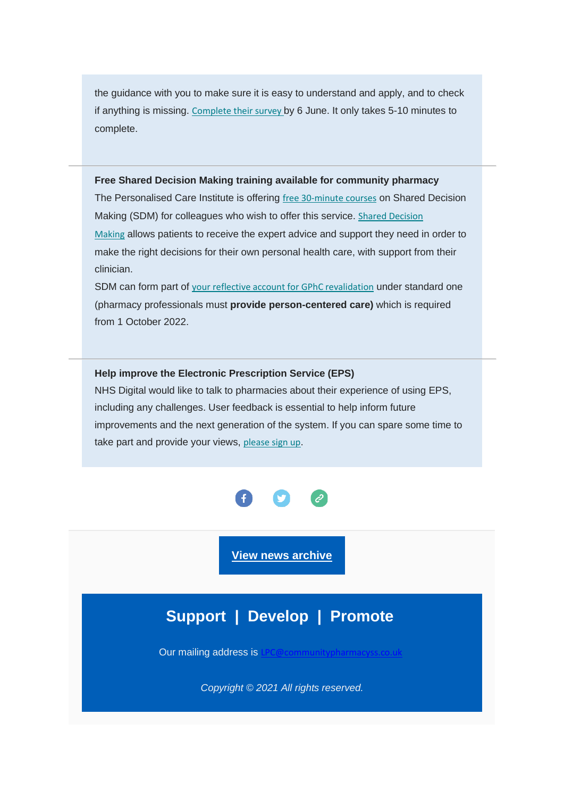the guidance with you to make sure it is easy to understand and apply, and to check if anything is missing. [Complete their survey](https://communitypharmacyss.us7.list-manage.com/track/click?u=33f7e892f0f58b8b9ecc659cf&id=b81fd68e5c&e=2bf65ab530) by 6 June. It only takes 5-10 minutes to complete.

#### **Free Shared Decision Making training available for community pharmacy**

The Personalised Care Institute is offering [free 30-minute courses](https://communitypharmacyss.us7.list-manage.com/track/click?u=33f7e892f0f58b8b9ecc659cf&id=5d2489f4d9&e=2bf65ab530) on Shared Decision Making (SDM) for colleagues who wish to offer this service. Shared Decision [Making](https://communitypharmacyss.us7.list-manage.com/track/click?u=33f7e892f0f58b8b9ecc659cf&id=43452ca301&e=2bf65ab530) allows patients to receive the expert advice and support they need in order to make the right decisions for their own personal health care, with support from their clinician.

SDM can form part of [your reflective account for GPhC revalidation](https://communitypharmacyss.us7.list-manage.com/track/click?u=33f7e892f0f58b8b9ecc659cf&id=b0ff14ad58&e=2bf65ab530) under standard one (pharmacy professionals must **provide person-centered care)** which is required from 1 October 2022.

**Help improve the Electronic Prescription Service (EPS)** NHS Digital would like to talk to pharmacies about their experience of using EPS, including any challenges. User feedback is essential to help inform future improvements and the next generation of the system. If you can spare some time to take part and provide your views, [please sign up](https://communitypharmacyss.us7.list-manage.com/track/click?u=33f7e892f0f58b8b9ecc659cf&id=c6c0227e2e&e=2bf65ab530).



**[View news archive](https://communitypharmacyss.us7.list-manage.com/track/click?u=33f7e892f0f58b8b9ecc659cf&id=b70eb8b464&e=2bf65ab530)**

# **Support | Develop | Promote**

Our mailing address is

*Copyright © 2021 All rights reserved.*